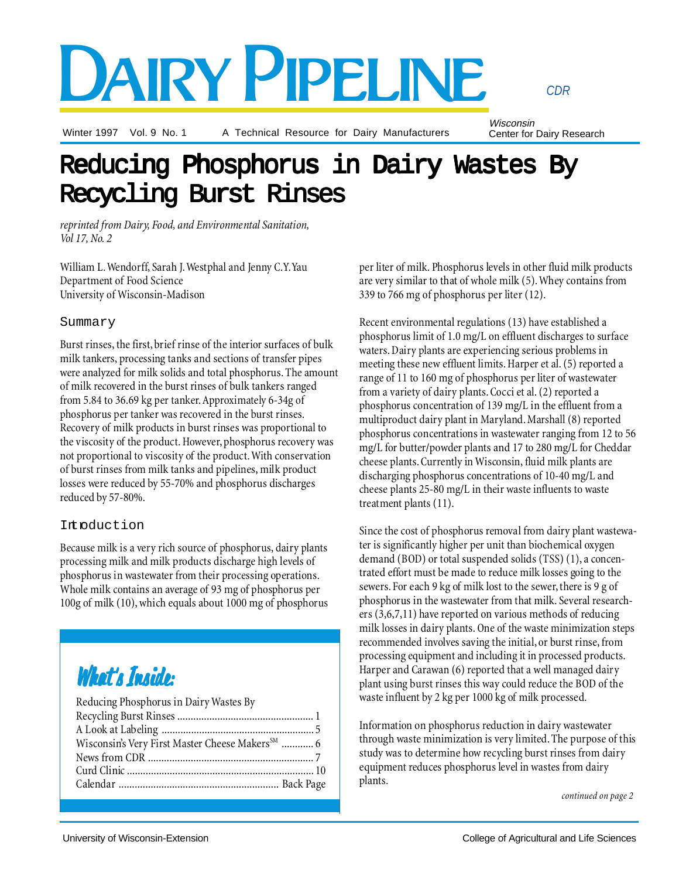# DAIRY PIPELINE

Winter 1997 Vol. 9 No. 1

A Technical Resource for Dairy Manufacturers

Wisconsin Center for Dairy Research

*CDR*

# Reducing Phosphorus in Dairy Wastes By Recycling Burst Rinses Recycling Burst Rinses

*reprinted from Dairy, Food, and Environmental Sanitation, Vol 17, No. 2*

William L. Wendorff, Sarah J. Westphal and Jenny C.Y. Yau Department of Food Science University of Wisconsin-Madison

# Summary

Burst rinses, the first, brief rinse of the interior surfaces of bulk milk tankers, processing tanks and sections of transfer pipes were analyzed for milk solids and total phosphorus. The amount of milk recovered in the burst rinses of bulk tankers ranged from 5.84 to 36.69 kg per tanker. Approximately 6-34g of phosphorus per tanker was recovered in the burst rinses. Recovery of milk products in burst rinses was proportional to the viscosity of the product. However, phosphorus recovery was not proportional to viscosity of the product. With conservation of burst rinses from milk tanks and pipelines, milk product losses were reduced by 55-70% and phosphorus discharges reduced by 57-80%.

# Introduction

Because milk is a very rich source of phosphorus, dairy plants processing milk and milk products discharge high levels of phosphorus in wastewater from their processing operations. Whole milk contains an average of 93 mg of phosphorus per 100g of milk (10), which equals about 1000 mg of phosphorus

# What's Inside:

| Reducing Phosphorus in Dairy Wastes By                      |  |
|-------------------------------------------------------------|--|
|                                                             |  |
|                                                             |  |
| Wisconsin's Very First Master Cheese Makers <sup>SM</sup> 6 |  |
|                                                             |  |
|                                                             |  |
|                                                             |  |
|                                                             |  |

per liter of milk. Phosphorus levels in other fluid milk products are very similar to that of whole milk (5). Whey contains from 339 to 766 mg of phosphorus per liter (12).

Recent environmental regulations (13) have established a phosphorus limit of 1.0 mg/L on effluent discharges to surface waters. Dairy plants are experiencing serious problems in meeting these new effluent limits. Harper et al. (5) reported a range of 11 to 160 mg of phosphorus per liter of wastewater from a variety of dairy plants. Cocci et al. (2) reported a phosphorus concentration of 139 mg/L in the effluent from a multiproduct dairy plant in Maryland. Marshall (8) reported phosphorus concentrations in wastewater ranging from 12 to 56 mg/L for butter/powder plants and 17 to 280 mg/L for Cheddar cheese plants. Currently in Wisconsin, fluid milk plants are discharging phosphorus concentrations of 10-40 mg/L and cheese plants 25-80 mg/L in their waste influents to waste treatment plants (11).

Since the cost of phosphorus removal from dairy plant wastewater is significantly higher per unit than biochemical oxygen demand (BOD) or total suspended solids (TSS) (1), a concentrated effort must be made to reduce milk losses going to the sewers. For each 9 kg of milk lost to the sewer, there is 9 g of phosphorus in the wastewater from that milk. Several researchers (3,6,7,11) have reported on various methods of reducing milk losses in dairy plants. One of the waste minimization steps recommended involves saving the initial, or burst rinse, from processing equipment and including it in processed products. Harper and Carawan (6) reported that a well managed dairy plant using burst rinses this way could reduce the BOD of the waste influent by 2 kg per 1000 kg of milk processed.

Information on phosphorus reduction in dairy wastewater through waste minimization is very limited. The purpose of this study was to determine how recycling burst rinses from dairy equipment reduces phosphorus level in wastes from dairy plants.

*continued on page 2*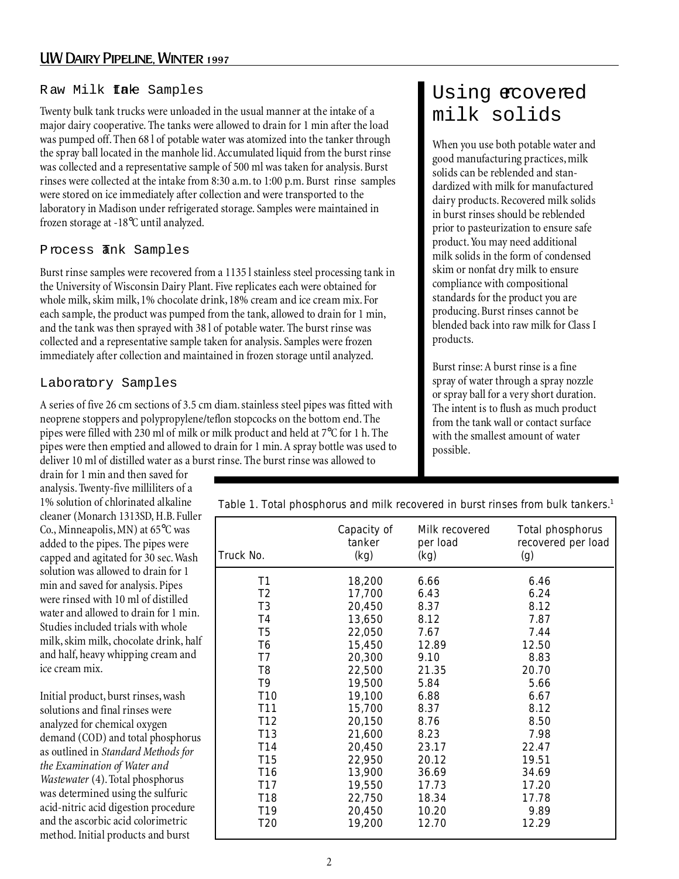# Raw Milk *tal*e Samples

Twenty bulk tank trucks were unloaded in the usual manner at the intake of a major dairy cooperative. The tanks were allowed to drain for 1 min after the load was pumped off. Then 68 l of potable water was atomized into the tanker through the spray ball located in the manhole lid. Accumulated liquid from the burst rinse was collected and a representative sample of 500 ml was taken for analysis. Burst rinses were collected at the intake from 8:30 a.m. to 1:00 p.m. Burst rinse samples were stored on ice immediately after collection and were transported to the laboratory in Madison under refrigerated storage. Samples were maintained in frozen storage at -18°C until analyzed.

# Process *Thk* Samples

Burst rinse samples were recovered from a 1135 l stainless steel processing tank in the University of Wisconsin Dairy Plant. Five replicates each were obtained for whole milk, skim milk, 1% chocolate drink, 18% cream and ice cream mix. For each sample, the product was pumped from the tank, allowed to drain for 1 min, and the tank was then sprayed with 38 l of potable water. The burst rinse was collected and a representative sample taken for analysis. Samples were frozen immediately after collection and maintained in frozen storage until analyzed.

# Laboratory Samples

A series of five 26 cm sections of 3.5 cm diam. stainless steel pipes was fitted with neoprene stoppers and polypropylene/teflon stopcocks on the bottom end. The pipes were filled with 230 ml of milk or milk product and held at 7°C for 1 h. The pipes were then emptied and allowed to drain for 1 min. A spray bottle was used to deliver 10 ml of distilled water as a burst rinse. The burst rinse was allowed to

# Using ecovered milk solids

When you use both potable water and good manufacturing practices, milk solids can be reblended and standardized with milk for manufactured dairy products. Recovered milk solids in burst rinses should be reblended prior to pasteurization to ensure safe product. You may need additional milk solids in the form of condensed skim or nonfat dry milk to ensure compliance with compositional standards for the product you are producing. Burst rinses cannot be blended back into raw milk for Class I products.

Burst rinse: A burst rinse is a fine spray of water through a spray nozzle or spray ball for a very short duration. The intent is to flush as much product from the tank wall or contact surface with the smallest amount of water possible.

drain for 1 min and then saved for analysis. Twenty-five milliliters of a 1% solution of chlorinated alkaline cleaner (Monarch 1313SD, H.B. Fuller Co., Minneapolis, MN) at 65°C was added to the pipes. The pipes were capped and agitated for 30 sec. Wash solution was allowed to drain for 1 min and saved for analysis. Pipes were rinsed with 10 ml of distilled water and allowed to drain for 1 min. Studies included trials with whole milk, skim milk, chocolate drink, half and half, heavy whipping cream and ice cream mix.

Initial product, burst rinses, wash solutions and final rinses were analyzed for chemical oxygen demand (COD) and total phosphorus as outlined in *Standard Methods for the Examination of Water and Wastewater* (4). Total phosphorus was determined using the sulfuric acid-nitric acid digestion procedure and the ascorbic acid colorimetric method. Initial products and burst

| Table 1. Total phosphorus and milk recovered in burst rinses from bulk tankers. <sup>1</sup> |
|----------------------------------------------------------------------------------------------|
|----------------------------------------------------------------------------------------------|

| Truck No.       | Capacity of<br>tanker<br>(kg) | Milk recovered<br>per load<br>(kg) | Total phosphorus<br>recovered per load<br>(g) |
|-----------------|-------------------------------|------------------------------------|-----------------------------------------------|
| T <sub>1</sub>  |                               | 6.66                               | 6.46                                          |
|                 | 18,200                        |                                    |                                               |
| T <sub>2</sub>  | 17,700                        | 6.43                               | 6.24                                          |
| T <sub>3</sub>  | 20,450                        | 8.37                               | 8.12                                          |
| T <sub>4</sub>  | 13,650                        | 8.12                               | 7.87                                          |
| T <sub>5</sub>  | 22,050                        | 7.67                               | 7.44                                          |
| T <sub>6</sub>  | 15,450                        | 12.89                              | 12.50                                         |
| T7              | 20,300                        | 9.10                               | 8.83                                          |
| T <sub>8</sub>  | 22,500                        | 21.35                              | 20.70                                         |
| T <sub>9</sub>  | 19,500                        | 5.84                               | 5.66                                          |
| T <sub>10</sub> | 19,100                        | 6.88                               | 6.67                                          |
| T <sub>11</sub> | 15,700                        | 8.37                               | 8.12                                          |
| T <sub>12</sub> | 20,150                        | 8.76                               | 8.50                                          |
| T <sub>13</sub> | 21,600                        | 8.23                               | 7.98                                          |
| T14             | 20,450                        | 23.17                              | 22.47                                         |
| T <sub>15</sub> | 22,950                        | 20.12                              | 19.51                                         |
| T <sub>16</sub> | 13,900                        | 36.69                              | 34.69                                         |
| T17             | 19,550                        | 17.73                              | 17.20                                         |
| T <sub>18</sub> | 22,750                        | 18.34                              | 17.78                                         |
| T <sub>19</sub> | 20,450                        | 10.20                              | 9.89                                          |
| T20             | 19,200                        | 12.70                              | 12.29                                         |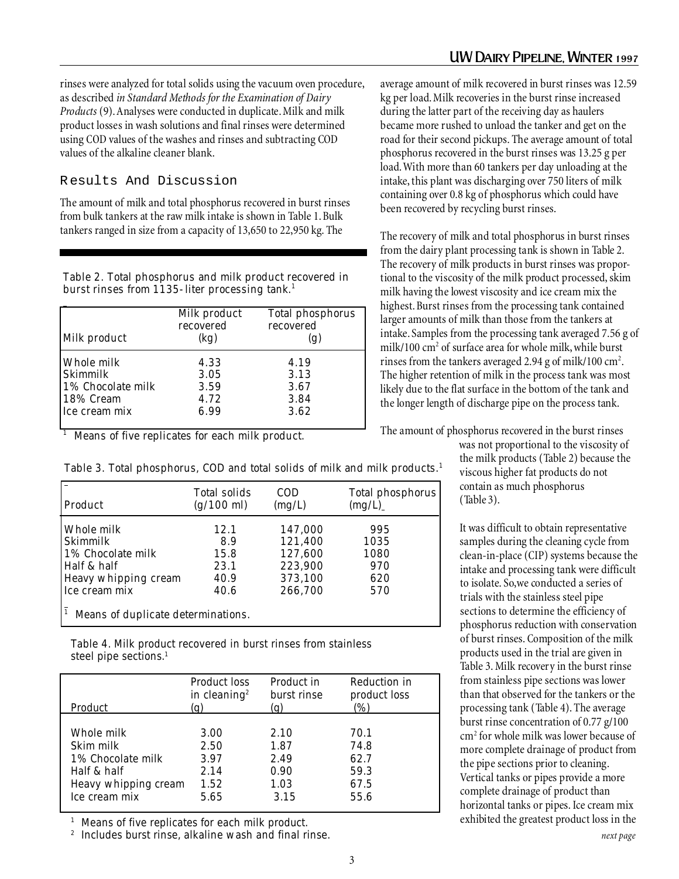rinses were analyzed for total solids using the vacuum oven procedure, as described *in Standard Methods for the Examination of Dairy Products* (9). Analyses were conducted in duplicate. Milk and milk product losses in wash solutions and final rinses were determined using COD values of the washes and rinses and subtracting COD values of the alkaline cleaner blank.

R esults And Discussion

The amount of milk and total phosphorus recovered in burst rinses from bulk tankers at the raw milk intake is shown in Table 1. Bulk tankers ranged in size from a capacity of 13,650 to 22,950 kg. The

Table 2. Total phosphorus and milk product recovered in burst rinses from 1135-liter processing tank.<sup>1</sup>

| Milk product      | Milk product<br>recovered<br>(kg) | Total phosphorus<br>recovered<br>(g) |
|-------------------|-----------------------------------|--------------------------------------|
| Whole milk        | 4.33                              | 4.19                                 |
| Skimmilk          | 3.05                              | 3.13                                 |
| 1% Chocolate milk | 3.59                              | 3.67                                 |
| 18% Cream         | 4.72                              | 3.84                                 |
| Ice cream mix     | 6.99                              | 3.62                                 |

 $<sup>1</sup>$  Means of five replicates for each milk product.</sup>

Table 3. Total phosphorus, COD and total solids of milk and milk products.<sup>1</sup>

| Product                            | Total solids<br>$(g/100 \text{ ml})$ | <b>COD</b><br>(mg/L) | Total phosphorus<br>(mg/L) |  |
|------------------------------------|--------------------------------------|----------------------|----------------------------|--|
| Whole milk                         | 12.1                                 | 147,000              | 995                        |  |
| Skimmilk                           | 8.9                                  | 121.400              | 1035                       |  |
| 1% Chocolate milk                  | 15.8                                 | 127,600              | 1080                       |  |
| Half & half                        | 23.1                                 | 223,900              | 970                        |  |
| Heavy whipping cream               | 40.9                                 | 373,100              | 620                        |  |
| Ice cream mix                      | 40.6                                 | 266,700              | 570                        |  |
| Means of duplicate determinations. |                                      |                      |                            |  |

Table 4. Milk product recovered in burst rinses from stainless steel pipe sections.<sup>1</sup>

| Product              | <b>Product loss</b>      | Product in  | Reduction in |
|----------------------|--------------------------|-------------|--------------|
|                      | in cleaning <sup>2</sup> | burst rinse | product loss |
|                      | (g)                      | (g)         | (%)          |
| Whole milk           | 3.00                     | 2.10        | 70.1         |
| Skim milk            | 2.50                     | 1.87        | 74.8         |
| 1% Chocolate milk    | 3.97                     | 2.49        | 62.7         |
| Half & half          | 2.14                     | 0.90        | 59.3         |
| Heavy whipping cream | 1.52                     | 1.03        | 67.5         |
| Ice cream mix        | 5.65                     | 3.15        | 55.6         |

<sup>1</sup> Means of five replicates for each milk product.

Includes burst rinse, alkaline wash and final rinse.

average amount of milk recovered in burst rinses was 12.59 kg per load. Milk recoveries in the burst rinse increased during the latter part of the receiving day as haulers became more rushed to unload the tanker and get on the road for their second pickups. The average amount of total phosphorus recovered in the burst rinses was 13.25 g per load. With more than 60 tankers per day unloading at the intake, this plant was discharging over 750 liters of milk containing over 0.8 kg of phosphorus which could have been recovered by recycling burst rinses.

The recovery of milk and total phosphorus in burst rinses from the dairy plant processing tank is shown in Table 2. The recovery of milk products in burst rinses was proportional to the viscosity of the milk product processed, skim milk having the lowest viscosity and ice cream mix the highest. Burst rinses from the processing tank contained larger amounts of milk than those from the tankers at intake. Samples from the processing tank averaged 7.56 g of milk/100 cm<sup>2</sup> of surface area for whole milk, while burst rinses from the tankers averaged 2.94 g of milk/100  $\text{cm}^2$ . The higher retention of milk in the process tank was most likely due to the flat surface in the bottom of the tank and the longer length of discharge pipe on the process tank.

The amount of phosphorus recovered in the burst rinses

was not proportional to the viscosity of the milk products (Table 2) because the viscous higher fat products do not contain as much phosphorus (Table 3).

It was difficult to obtain representative samples during the cleaning cycle from clean-in-place (CIP) systems because the intake and processing tank were difficult to isolate. So,we conducted a series of trials with the stainless steel pipe sections to determine the efficiency of phosphorus reduction with conservation of burst rinses. Composition of the milk products used in the trial are given in Table 3. Milk recovery in the burst rinse from stainless pipe sections was lower than that observed for the tankers or the processing tank (Table 4). The average burst rinse concentration of 0.77 g/100 cm2 for whole milk was lower because of more complete drainage of product from the pipe sections prior to cleaning. Vertical tanks or pipes provide a more complete drainage of product than horizontal tanks or pipes. Ice cream mix exhibited the greatest product loss in the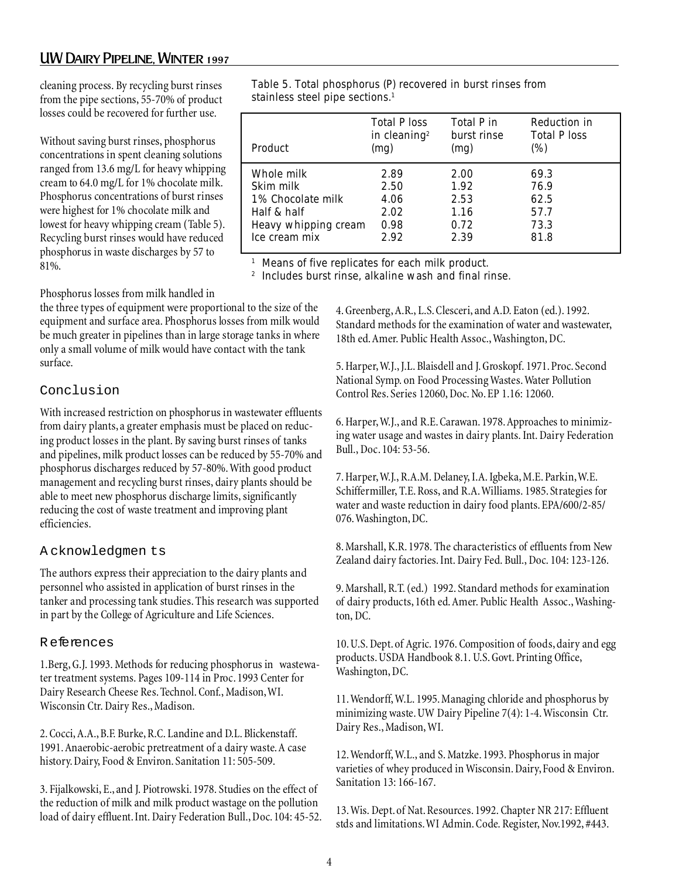# UW Dairy Pipeline, Winter 1997

cleaning process. By recycling burst rinses from the pipe sections, 55-70% of product losses could be recovered for further use.

Without saving burst rinses, phosphorus concentrations in spent cleaning solutions ranged from 13.6 mg/L for heavy whipping cream to 64.0 mg/L for 1% chocolate milk. Phosphorus concentrations of burst rinses were highest for 1% chocolate milk and lowest for heavy whipping cream (Table 5). Recycling burst rinses would have reduced phosphorus in waste discharges by 57 to 81%.

### Phosphorus losses from milk handled in

the three types of equipment were proportional to the size of the equipment and surface area. Phosphorus losses from milk would be much greater in pipelines than in large storage tanks in where only a small volume of milk would have contact with the tank surface.

# Conclusion

With increased restriction on phosphorus in wastewater effluents from dairy plants, a greater emphasis must be placed on reducing product losses in the plant. By saving burst rinses of tanks and pipelines, milk product losses can be reduced by 55-70% and phosphorus discharges reduced by 57-80%. With good product management and recycling burst rinses, dairy plants should be able to meet new phosphorus discharge limits, significantly reducing the cost of waste treatment and improving plant efficiencies.

## A cknowledgmen ts

The authors express their appreciation to the dairy plants and personnel who assisted in application of burst rinses in the tanker and processing tank studies. This research was supported in part by the College of Agriculture and Life Sciences.

## R eferences

1.Berg, G.J. 1993. Methods for reducing phosphorus in wastewater treatment systems. Pages 109-114 in Proc. 1993 Center for Dairy Research Cheese Res. Technol. Conf., Madison, WI. Wisconsin Ctr. Dairy Res., Madison.

2. Cocci, A.A., B.F. Burke, R.C. Landine and D.L. Blickenstaff. 1991. Anaerobic-aerobic pretreatment of a dairy waste. A case history. Dairy, Food & Environ. Sanitation 11: 505-509.

3. Fijalkowski, E., and J. Piotrowski. 1978. Studies on the effect of the reduction of milk and milk product wastage on the pollution load of dairy effluent. Int. Dairy Federation Bull., Doc. 104: 45-52.

Table 5. Total phosphorus (P) recovered in burst rinses from stainless steel pipe sections.1

| Product              | <b>Total P loss</b><br>in cleaning <sup>2</sup><br>(mg) | Total P in<br>burst rinse<br>(mg) | Reduction in<br><b>Total P loss</b><br>(%) |
|----------------------|---------------------------------------------------------|-----------------------------------|--------------------------------------------|
| Whole milk           | 2.89                                                    | 2.00                              | 69.3                                       |
| Skim milk            | 2.50                                                    | 1.92                              | 76.9                                       |
| 1% Chocolate milk    | 4.06                                                    | 2.53                              | 62.5                                       |
| Half & half          | 2.02                                                    | 1.16                              | 57.7                                       |
| Heavy whipping cream | 0.98                                                    | 0.72                              | 73.3                                       |
| Ice cream mix        | 2.92                                                    | 2.39                              | 81.8                                       |

<sup>1</sup> Means of five replicates for each milk product.

2 Includes burst rinse, alkaline wash and final rinse.

4. Greenberg, A.R., L.S. Clesceri, and A.D. Eaton (ed.). 1992. Standard methods for the examination of water and wastewater, 18th ed. Amer. Public Health Assoc., Washington, DC.

5. Harper, W.J., J.L. Blaisdell and J. Groskopf. 1971. Proc. Second National Symp. on Food Processing Wastes. Water Pollution Control Res. Series 12060, Doc. No. EP 1.16: 12060.

6. Harper, W.J., and R.E. Carawan. 1978. Approaches to minimizing water usage and wastes in dairy plants. Int. Dairy Federation Bull., Doc. 104: 53-56.

7. Harper, W.J., R.A.M. Delaney, I.A. Igbeka, M.E. Parkin, W.E. Schiffermiller, T.E. Ross, and R.A. Williams. 1985. Strategies for water and waste reduction in dairy food plants. EPA/600/2-85/ 076. Washington, DC.

8. Marshall, K.R. 1978. The characteristics of effluents from New Zealand dairy factories. Int. Dairy Fed. Bull., Doc. 104: 123-126.

9. Marshall, R.T. (ed.) 1992. Standard methods for examination of dairy products, 16th ed. Amer. Public Health Assoc., Washington, DC.

10. U.S. Dept. of Agric. 1976. Composition of foods, dairy and egg products. USDA Handbook 8.1. U.S. Govt. Printing Office, Washington, DC.

11. Wendorff, W.L. 1995. Managing chloride and phosphorus by minimizing waste. UW Dairy Pipeline 7(4): 1-4. Wisconsin Ctr. Dairy Res., Madison, WI.

12. Wendorff, W.L., and S. Matzke. 1993. Phosphorus in major varieties of whey produced in Wisconsin. Dairy, Food & Environ. Sanitation 13: 166-167.

13. Wis. Dept. of Nat. Resources. 1992. Chapter NR 217: Effluent stds and limitations. WI Admin. Code. Register, Nov.1992, #443.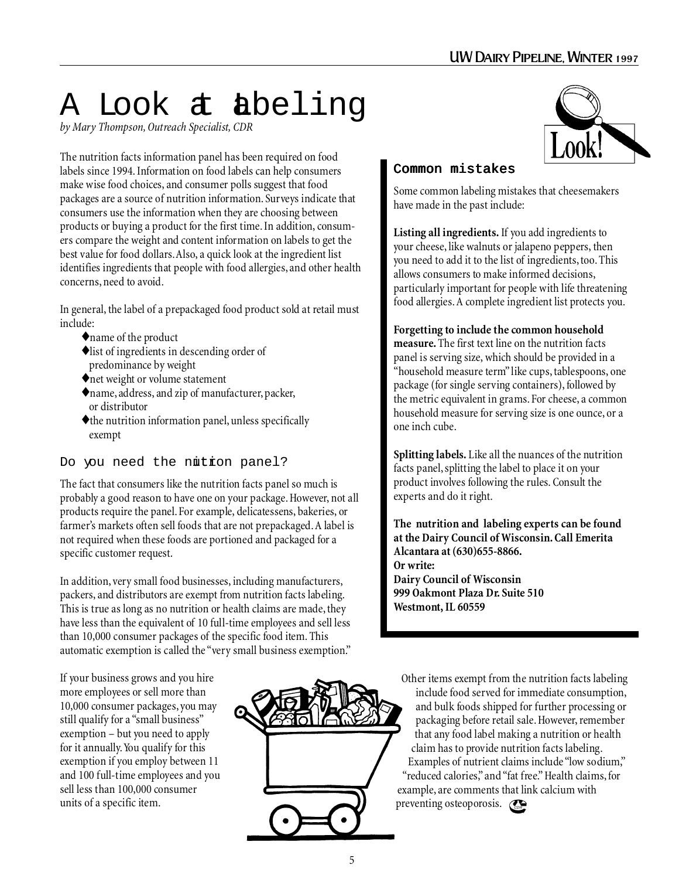# A Look at abeling

*by Mary Thompson, Outreach Specialist, CDR*

The nutrition facts information panel has been required on food labels since 1994. Information on food labels can help consumers make wise food choices, and consumer polls suggest that food packages are a source of nutrition information. Surveys indicate that consumers use the information when they are choosing between products or buying a product for the first time. In addition, consumers compare the weight and content information on labels to get the best value for food dollars. Also, a quick look at the ingredient list identifies ingredients that people with food allergies, and other health concerns, need to avoid.

In general, the label of a prepackaged food product sold at retail must include:

- ♦name of the product
- ♦list of ingredients in descending order of predominance by weight
- ♦net weight or volume statement
- ♦name, address, and zip of manufacturer, packer, or distributor
- $\blacklozenge$  the nutrition information panel, unless specifically exempt

# Do you need the nutron panel?

The fact that consumers like the nutrition facts panel so much is probably a good reason to have one on your package. However, not all products require the panel. For example, delicatessens, bakeries, or farmer's markets often sell foods that are not prepackaged. A label is not required when these foods are portioned and packaged for a specific customer request.

In addition, very small food businesses, including manufacturers, packers, and distributors are exempt from nutrition facts labeling. This is true as long as no nutrition or health claims are made, they have less than the equivalent of 10 full-time employees and sell less than 10,000 consumer packages of the specific food item. This automatic exemption is called the "very small business exemption."

If your business grows and you hire more employees or sell more than 10,000 consumer packages, you may still qualify for a "small business" exemption – but you need to apply for it annually. You qualify for this exemption if you employ between 11 and 100 full-time employees and you sell less than 100,000 consumer units of a specific item.





# Common mistakes

Some common labeling mistakes that cheesemakers have made in the past include:

**Listing all ingredients.** If you add ingredients to your cheese, like walnuts or jalapeno peppers, then you need to add it to the list of ingredients, too. This allows consumers to make informed decisions, particularly important for people with life threatening food allergies. A complete ingredient list protects you.

**Forgetting to include the common household measure.** The first text line on the nutrition facts

panel is serving size, which should be provided in a "household measure term" like cups, tablespoons, one package (for single serving containers), followed by the metric equivalent in grams. For cheese, a common household measure for serving size is one ounce, or a one inch cube.

**Splitting labels.** Like all the nuances of the nutrition facts panel, splitting the label to place it on your product involves following the rules. Consult the experts and do it right.

**The nutrition and labeling experts can be found at the Dairy Council of Wisconsin. Call Emerita Alcantara at (630)655-8866. Or write: Dairy Council of Wisconsin 999 Oakmont Plaza Dr. Suite 510 Westmont, IL 60559**

Other items exempt from the nutrition facts labeling include food served for immediate consumption, and bulk foods shipped for further processing or packaging before retail sale. However, remember that any food label making a nutrition or health claim has to provide nutrition facts labeling. Examples of nutrient claims include "low sodium," "reduced calories," and "fat free." Health claims, for example, are comments that link calcium with preventing osteoporosis.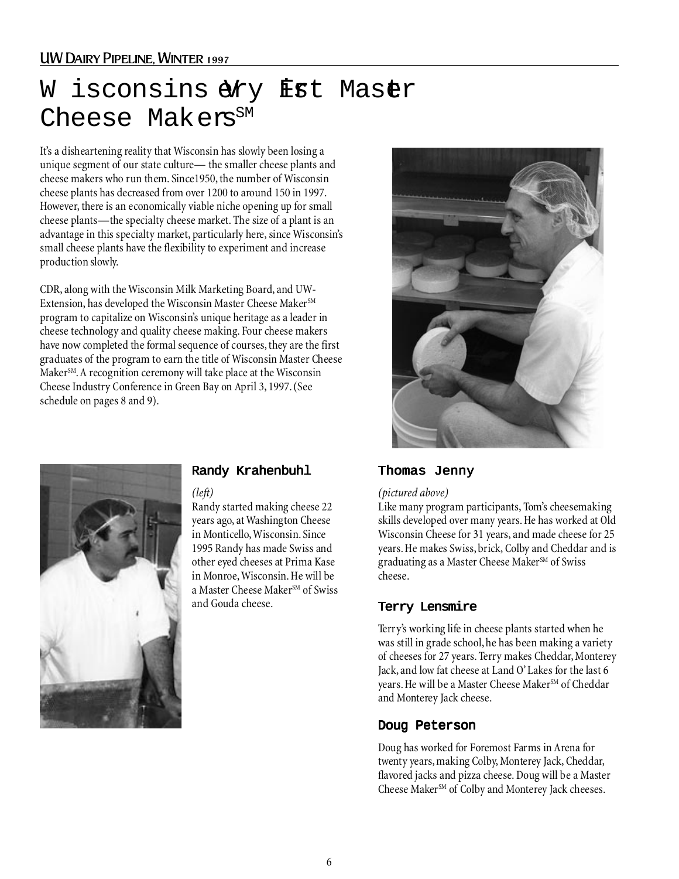# UW Dairy Pipeline, Winter 1997

# W isconsin $\widetilde{\mathbf{O}}$ ery Frt Maser Cheese Makers<sup>SM</sup>

It's a disheartening reality that Wisconsin has slowly been losing a unique segment of our state culture— the smaller cheese plants and cheese makers who run them. Since1950, the number of Wisconsin cheese plants has decreased from over 1200 to around 150 in 1997. However, there is an economically viable niche opening up for small cheese plants—the specialty cheese market. The size of a plant is an advantage in this specialty market, particularly here, since Wisconsin's small cheese plants have the flexibility to experiment and increase production slowly.

CDR, along with the Wisconsin Milk Marketing Board, and UW-Extension, has developed the Wisconsin Master Cheese Maker<sup>SM</sup> program to capitalize on Wisconsin's unique heritage as a leader in cheese technology and quality cheese making. Four cheese makers have now completed the formal sequence of courses, they are the first graduates of the program to earn the title of Wisconsin Master Cheese Maker<sup>SM</sup>. A recognition ceremony will take place at the Wisconsin Cheese Industry Conference in Green Bay on April 3, 1997. (See schedule on pages 8 and 9).





# Randy Krahenbuhl

*(left)*

Randy started making cheese 22 years ago, at Washington Cheese in Monticello, Wisconsin. Since 1995 Randy has made Swiss and other eyed cheeses at Prima Kase in Monroe, Wisconsin. He will be a Master Cheese Maker<sup>SM</sup> of Swiss<br>and Gouda cheese.

### Thomas Jenny

### *(pictured above)*

Like many program participants, Tom's cheesemaking skills developed over many years. He has worked at Old Wisconsin Cheese for 31 years, and made cheese for 25 years. He makes Swiss, brick, Colby and Cheddar and is eraduating as a Master Cheese Maker<sup>SM</sup> of Swiss cheese.

### Terry Lensmire

Terry's working life in cheese plants started when he was still in grade school, he has been making a variety of cheeses for 27 years. Terry makes Cheddar, Monterey Jack, and low fat cheese at Land O' Lakes for the last 6 years. He will be a Master Cheese Maker<sup>SM</sup> of Cheddar and Monterey Jack cheese.

## Doug Peterson

Doug has worked for Foremost Farms in Arena for twenty years, making Colby, Monterey Jack, Cheddar, flavored jacks and pizza cheese. Doug will be a Master Cheese Maker<sup>SM</sup> of Colby and Monterey Jack cheeses.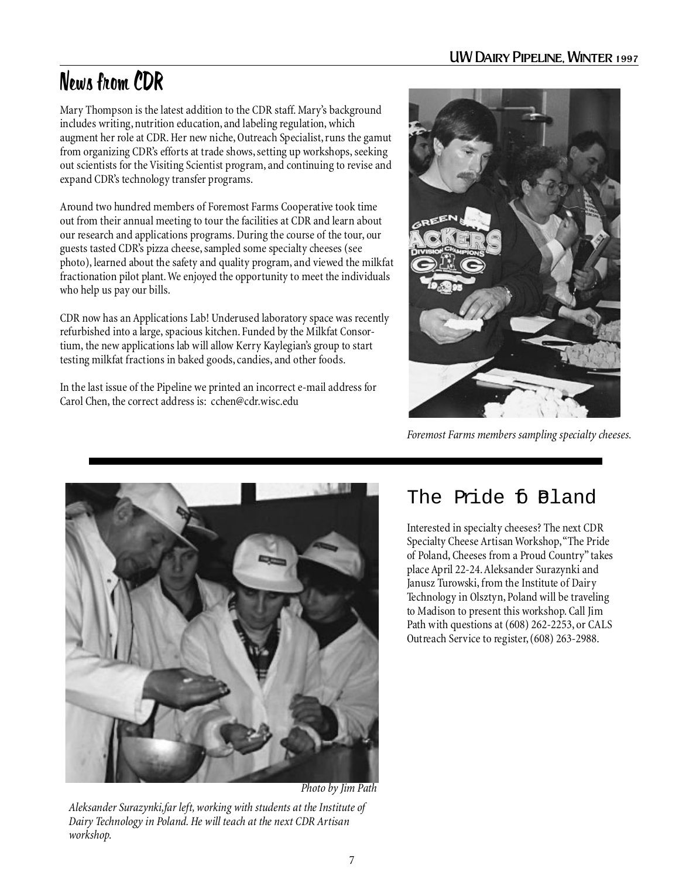# News from CDR

Mary Thompson is the latest addition to the CDR staff. Mary's background includes writing, nutrition education, and labeling regulation, which augment her role at CDR. Her new niche, Outreach Specialist, runs the gamut from organizing CDR's efforts at trade shows, setting up workshops, seeking out scientists for the Visiting Scientist program, and continuing to revise and expand CDR's technology transfer programs.

Around two hundred members of Foremost Farms Cooperative took time out from their annual meeting to tour the facilities at CDR and learn about our research and applications programs. During the course of the tour, our guests tasted CDR's pizza cheese, sampled some specialty cheeses (see photo), learned about the safety and quality program, and viewed the milkfat fractionation pilot plant. We enjoyed the opportunity to meet the individuals who help us pay our bills.

CDR now has an Applications Lab! Underused laboratory space was recently refurbished into a large, spacious kitchen. Funded by the Milkfat Consortium, the new applications lab will allow Kerry Kaylegian's group to start testing milkfat fractions in baked goods, candies, and other foods.

In the last issue of the Pipeline we printed an incorrect e-mail address for Carol Chen, the correct address is: cchen@cdr.wisc.edu



*Foremost Farms members sampling specialty cheeses.*



*Photo by Jim Path*

*Aleksander Surazynki,far left, working with students at the Institute of Dairy Technology in Poland. He will teach at the next CDR Artisan workshop.*

# The Pride fi Pland

Interested in specialty cheeses? The next CDR Specialty Cheese Artisan Workshop, "The Pride of Poland, Cheeses from a Proud Country" takes place April 22-24. Aleksander Surazynki and Janusz Turowski, from the Institute of Dairy Technology in Olsztyn, Poland will be traveling to Madison to present this workshop. Call Jim Path with questions at (608) 262-2253, or CALS Outreach Service to register, (608) 263-2988.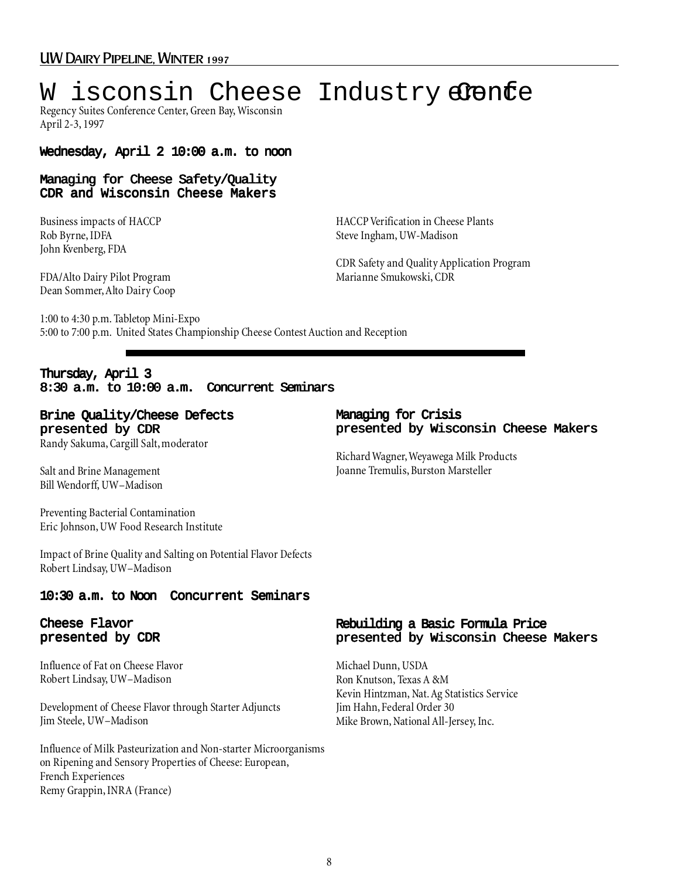# W isconsin Cheese Industry alenfe

Regency Suites Conference Center, Green Bay, Wisconsin April 2-3, 1997

# Wednesday, April 2 10:00 a.m. to noon

# Managing for Cheese Safety/Quality CDR and Wisconsin Cheese Makers

Business impacts of HACCP Rob Byrne, IDFA John Kvenberg, FDA

HACCP Verification in Cheese Plants Steve Ingham, UW-Madison

FDA/Alto Dairy Pilot Program Dean Sommer, Alto Dairy Coop

CDR Safety and Quality Application Program Marianne Smukowski, CDR

1:00 to 4:30 p.m. Tabletop Mini-Expo 5:00 to 7:00 p.m. United States Championship Cheese Contest Auction and Reception

# Thursday, April 3 8:30 a.m. to 10:00 a.m. Concurrent Seminars

# Brine Quality/Cheese Defects presented by CDR

Randy Sakuma, Cargill Salt, moderator

Salt and Brine Management Bill Wendorff, UW–Madison

Preventing Bacterial Contamination Eric Johnson, UW Food Research Institute

Impact of Brine Quality and Salting on Potential Flavor Defects Robert Lindsay, UW–Madison

# 10:30 a.m. to Noon Concurrent Seminars

# Cheese Flavor presented by CDR

Influence of Fat on Cheese Flavor Robert Lindsay, UW–Madison

Development of Cheese Flavor through Starter Adjuncts Jim Steele, UW–Madison

Influence of Milk Pasteurization and Non-starter Microorganisms on Ripening and Sensory Properties of Cheese: European, French Experiences Remy Grappin, INRA (France)

## Managing for Crisis presented by Wisconsin Cheese Makers

Richard Wagner, Weyawega Milk Products Joanne Tremulis, Burston Marsteller

# Rebuilding a Basic Formula Price presented by Wisconsin Cheese Makers

Michael Dunn, USDA Ron Knutson, Texas A &M Kevin Hintzman, Nat. Ag Statistics Service Jim Hahn, Federal Order 30 Mike Brown, National All-Jersey, Inc.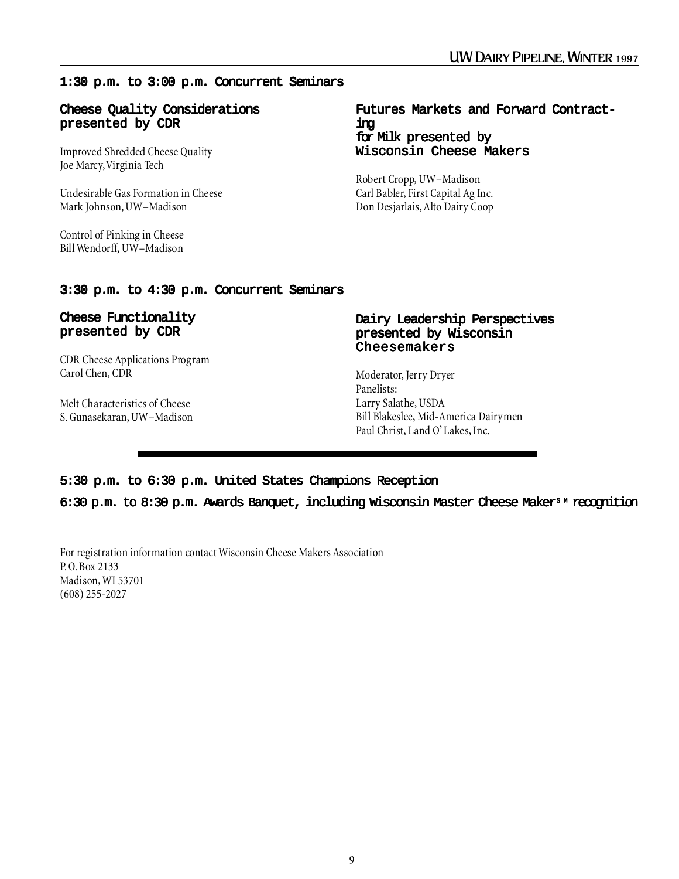# 1:30 p.m. to 3:00 p.m. Concurrent Seminars

### Cheese Quality Considerations presented by CDR

Improved Shredded Cheese Quality Joe Marcy, Virginia Tech

Undesirable Gas Formation in Cheese Mark Johnson, UW–Madison

Control of Pinking in Cheese Bill Wendorff, UW–Madison

## Futures Markets and Forward Contracting for Milk presented by Wisconsin Cheese Makers

Robert Cropp, UW–Madison Carl Babler, First Capital Ag Inc. Don Desjarlais, Alto Dairy Coop

# 3:30 p.m. to 4:30 p.m. Concurrent Seminars

# Cheese Functionality presented by CDR

CDR Cheese Applications Program Carol Chen, CDR

Melt Characteristics of Cheese S. Gunasekaran, UW–Madison

# Dairy Leadership Perspectives presented by Wisconsin Cheesemakers

Moderator, Jerry Dryer Panelists: Larry Salathe, USDA Bill Blakeslee, Mid-America Dairymen Paul Christ, Land O' Lakes, Inc.

# 5:30 p.m. to 6:30 p.m. United States Champions Reception

6:30 p.m. to 8:30 p.m. Awards Banquet, including Wisconsin Master Cheese Maker<sup>s M</sup> recognition

For registration information contact Wisconsin Cheese Makers Association P.O. Box 2133 Madison, WI 53701 (608) 255-2027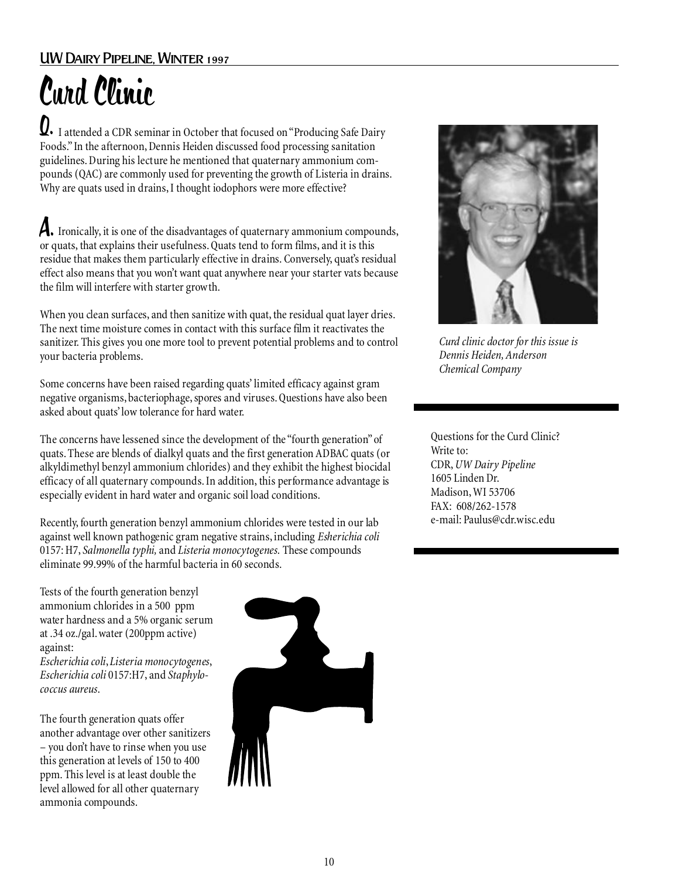# UW Dairy Pipeline, Winter 1997

# Curd Clinic

 $\bm{Q}.$  I attended a CDR seminar in October that focused on "Producing Safe Dairy Foods." In the afternoon, Dennis Heiden discussed food processing sanitation guidelines. During his lecture he mentioned that quaternary ammonium compounds (QAC) are commonly used for preventing the growth of Listeria in drains. Why are quats used in drains, I thought iodophors were more effective?

A. Ironically, it is one of the disadvantages of quaternary ammonium compounds, or quats, that explains their usefulness. Quats tend to form films, and it is this residue that makes them particularly effective in drains. Conversely, quat's residual effect also means that you won't want quat anywhere near your starter vats because the film will interfere with starter growth.

When you clean surfaces, and then sanitize with quat, the residual quat layer dries. The next time moisture comes in contact with this surface film it reactivates the sanitizer. This gives you one more tool to prevent potential problems and to control your bacteria problems.

Some concerns have been raised regarding quats' limited efficacy against gram negative organisms, bacteriophage, spores and viruses. Questions have also been asked about quats' low tolerance for hard water.

The concerns have lessened since the development of the "fourth generation" of quats. These are blends of dialkyl quats and the first generation ADBAC quats (or alkyldimethyl benzyl ammonium chlorides) and they exhibit the highest biocidal efficacy of all quaternary compounds. In addition, this performance advantage is especially evident in hard water and organic soil load conditions.

Recently, fourth generation benzyl ammonium chlorides were tested in our lab against well known pathogenic gram negative strains, including *Esherichia coli* 0157: H7, *Salmonella typhi,* and *Listeria monocytogenes.* These compounds eliminate 99.99% of the harmful bacteria in 60 seconds.

Tests of the fourth generation benzyl ammonium chlorides in a 500 ppm water hardness and a 5% organic serum at .34 oz./gal. water (200ppm active) against:

*Escherichia coli*, *Listeria monocytogenes*, *Escherichia coli* 0157:H7, and *Staphylococcus aureus*.

The fourth generation quats offer another advantage over other sanitizers – you don't have to rinse when you use this generation at levels of 150 to 400 ppm. This level is at least double the level allowed for all other quaternary ammonia compounds.





*Curd clinic doctor for this issue is Dennis Heiden, Anderson Chemical Company*

Questions for the Curd Clinic? Write to: CDR, *UW Dairy Pipeline* 1605 Linden Dr. Madison, WI 53706 FAX: 608/262-1578 e-mail: Paulus@cdr.wisc.edu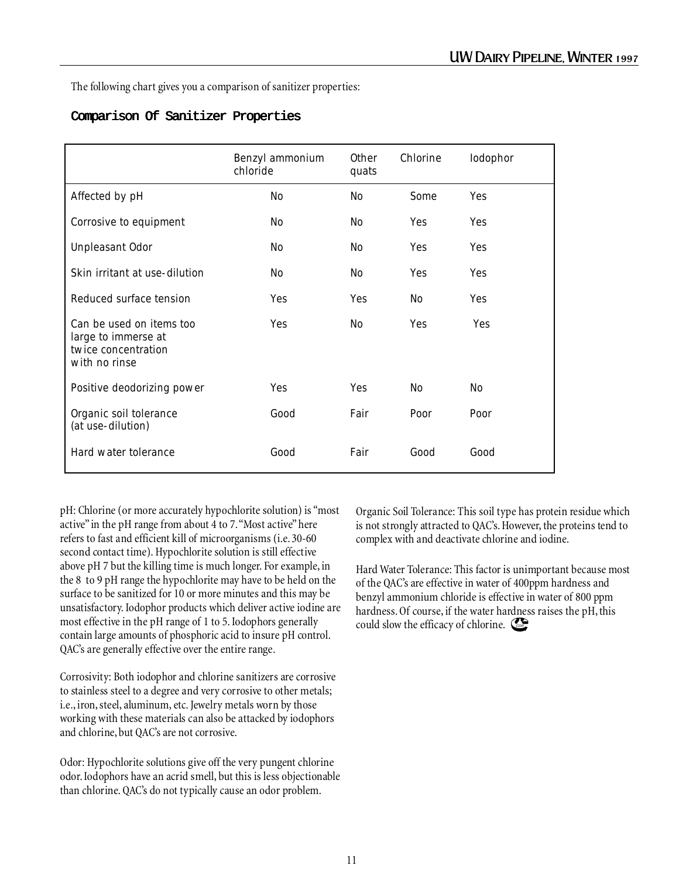The following chart gives you a comparison of sanitizer properties:

# Comparison Of Sanitizer Properties

|                                                                                         | Benzyl ammonium<br>chloride | <b>Other</b><br>quats | Chlorine       | Iodophor   |
|-----------------------------------------------------------------------------------------|-----------------------------|-----------------------|----------------|------------|
| Affected by pH                                                                          | N <sub>o</sub>              | No                    | Some           | Yes        |
| Corrosive to equipment                                                                  | No                          | No                    | Yes            | <b>Yes</b> |
| <b>Unpleasant Odor</b>                                                                  | No                          | No                    | Yes            | <b>Yes</b> |
| Skin irritant at use-dilution                                                           | N <sub>o</sub>              | N <sub>o</sub>        | Yes            | Yes        |
| Reduced surface tension                                                                 | Yes                         | <b>Yes</b>            | N <sub>o</sub> | <b>Yes</b> |
| Can be used on items too<br>large to immerse at<br>twice concentration<br>with no rinse | Yes                         | N <sub>o</sub>        | Yes            | <b>Yes</b> |
| Positive deodorizing power                                                              | Yes                         | Yes                   | No             | No         |
| Organic soil tolerance<br>(at use-dilution)                                             | Good                        | Fair                  | Poor           | Poor       |
| Hard water tolerance                                                                    | Good                        | Fair                  | Good           | Good       |

pH: Chlorine (or more accurately hypochlorite solution) is "most active" in the pH range from about 4 to 7. "Most active" here refers to fast and efficient kill of microorganisms (i.e. 30-60 second contact time). Hypochlorite solution is still effective above pH 7 but the killing time is much longer. For example, in the 8 to 9 pH range the hypochlorite may have to be held on the surface to be sanitized for 10 or more minutes and this may be unsatisfactory. Iodophor products which deliver active iodine are most effective in the pH range of 1 to 5. Iodophors generally contain large amounts of phosphoric acid to insure pH control. QAC's are generally effective over the entire range.

Corrosivity: Both iodophor and chlorine sanitizers are corrosive to stainless steel to a degree and very corrosive to other metals; i.e., iron, steel, aluminum, etc. Jewelry metals worn by those working with these materials can also be attacked by iodophors and chlorine, but QAC's are not corrosive.

Odor: Hypochlorite solutions give off the very pungent chlorine odor. Iodophors have an acrid smell, but this is less objectionable than chlorine. QAC's do not typically cause an odor problem.

Organic Soil Tolerance: This soil type has protein residue which is not strongly attracted to QAC's. However, the proteins tend to complex with and deactivate chlorine and iodine.

Hard Water Tolerance: This factor is unimportant because most of the QAC's are effective in water of 400ppm hardness and benzyl ammonium chloride is effective in water of 800 ppm hardness. Of course, if the water hardness raises the pH, this could slow the efficacy of chlorine.  $\mathbb{C}\mathbb{R}$